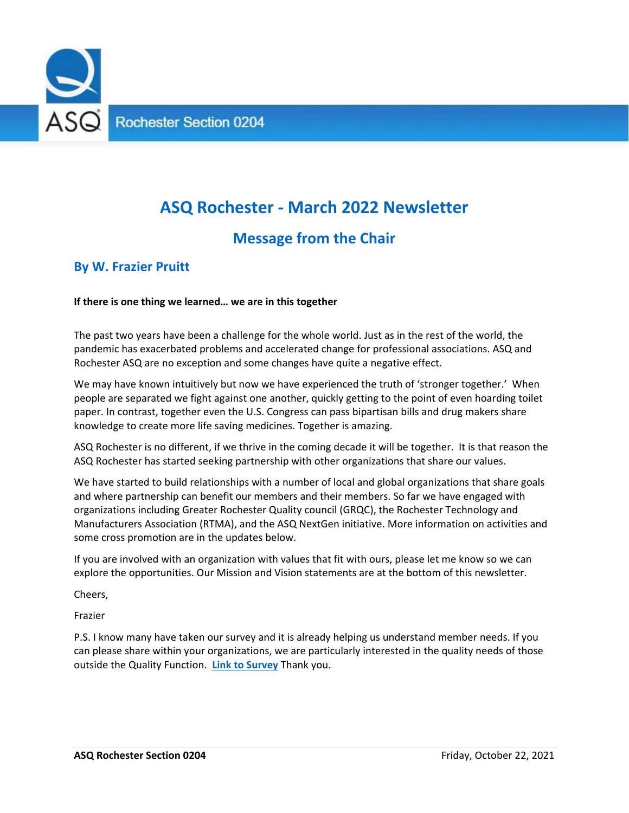

## **ASQ Rochester ‐ March 2022 Newsletter**

#### **Message from the Chair**

#### **By W. Frazier Pruitt**

#### **If there is one thing we learned… we are in this together**

The past two years have been a challenge for the whole world. Just as in the rest of the world, the pandemic has exacerbated problems and accelerated change for professional associations. ASQ and Rochester ASQ are no exception and some changes have quite a negative effect.

We may have known intuitively but now we have experienced the truth of 'stronger together.' When people are separated we fight against one another, quickly getting to the point of even hoarding toilet paper. In contrast, together even the U.S. Congress can pass bipartisan bills and drug makers share knowledge to create more life saving medicines. Together is amazing.

ASQ Rochester is no different, if we thrive in the coming decade it will be together. It is that reason the ASQ Rochester has started seeking partnership with other organizations that share our values.

We have started to build relationships with a number of local and global organizations that share goals and where partnership can benefit our members and their members. So far we have engaged with organizations including Greater Rochester Quality council (GRQC), the Rochester Technology and Manufacturers Association (RTMA), and the ASQ NextGen initiative. More information on activities and some cross promotion are in the updates below.

If you are involved with an organization with values that fit with ours, please let me know so we can explore the opportunities. Our Mission and Vision statements are at the bottom of this newsletter.

Cheers,

Frazier

P.S. I know many have taken our survey and it is already helping us understand member needs. If you can please share within your organizations, we are particularly interested in the quality needs of those outside the Quality Function. **Link to Survey** Thank you.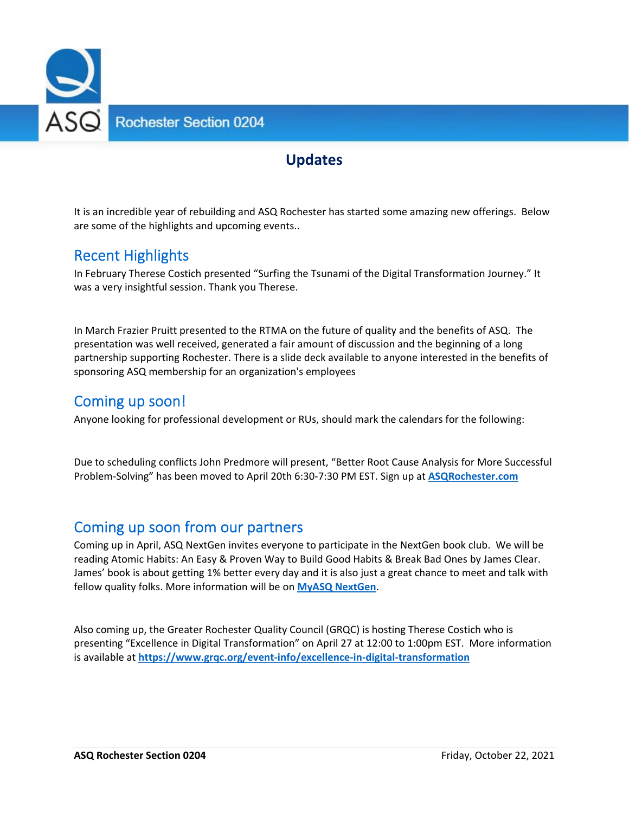

#### **Updates**

It is an incredible year of rebuilding and ASQ Rochester has started some amazing new offerings. Below are some of the highlights and upcoming events..

#### Recent Highlights

In February Therese Costich presented "Surfing the Tsunami of the Digital Transformation Journey." It was a very insightful session. Thank you Therese.

In March Frazier Pruitt presented to the RTMA on the future of quality and the benefits of ASQ. The presentation was well received, generated a fair amount of discussion and the beginning of a long partnership supporting Rochester. There is a slide deck available to anyone interested in the benefits of sponsoring ASQ membership for an organization's employees

#### Coming up soon!

Anyone looking for professional development or RUs, should mark the calendars for the following:

Due to scheduling conflicts John Predmore will present, "Better Root Cause Analysis for More Successful Problem‐Solving" has been moved to April 20th 6:30‐7:30 PM EST. Sign up at **ASQRochester.com**

#### Coming up soon from our partners

Coming up in April, ASQ NextGen invites everyone to participate in the NextGen book club. We will be reading Atomic Habits: An Easy & Proven Way to Build Good Habits & Break Bad Ones by James Clear. James' book is about getting 1% better every day and it is also just a great chance to meet and talk with fellow quality folks. More information will be on **MyASQ NextGen**.

Also coming up, the Greater Rochester Quality Council (GRQC) is hosting Therese Costich who is presenting "Excellence in Digital Transformation" on April 27 at 12:00 to 1:00pm EST. More information is available at **https://www.grqc.org/event‐info/excellence‐in‐digital‐transformation**